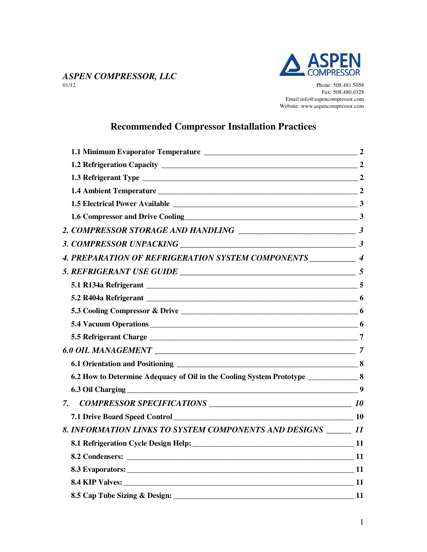

# *ASPEN COMPRESSOR, LLC*

Phone: 508.481.5058 Fax: 508.480.0328 Email:info@aspencompressor.com Website: www.aspencompressor.com

## **Recommended Compressor Installation Practices**

| 1.6 Compressor and Drive Cooling<br>2                                                                          |  |
|----------------------------------------------------------------------------------------------------------------|--|
|                                                                                                                |  |
|                                                                                                                |  |
| 4. PREPARATION OF REFRIGERATION SYSTEM COMPONENTS ____________ 4                                               |  |
|                                                                                                                |  |
|                                                                                                                |  |
|                                                                                                                |  |
|                                                                                                                |  |
|                                                                                                                |  |
|                                                                                                                |  |
|                                                                                                                |  |
|                                                                                                                |  |
| 6.2 How to Determine Adequacy of Oil in the Cooling System Prototype _______________8                          |  |
|                                                                                                                |  |
| 7.                                                                                                             |  |
|                                                                                                                |  |
| 8. INFORMATION LINKS TO SYSTEM COMPONENTS AND DESIGNS ______ 11                                                |  |
| 8.1 Refrigeration Cycle Design Help: 11                                                                        |  |
| 8.2 Condensers: 11 and 2012 11 and 2013 12 and 2013 12 and 2013 12 and 2014 12 and 2014 12 and 2014 12 and 201 |  |
| 8.3 Evaporators: 11                                                                                            |  |
|                                                                                                                |  |
|                                                                                                                |  |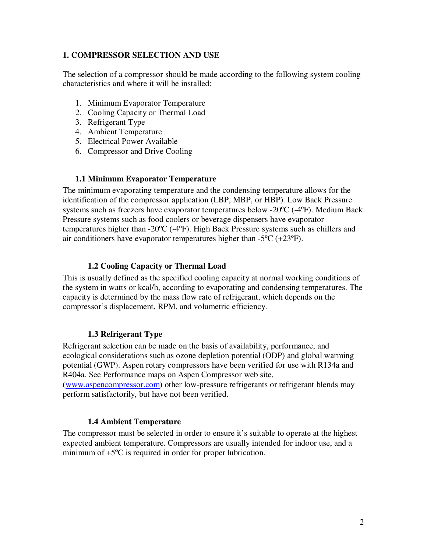#### **1. COMPRESSOR SELECTION AND USE**

The selection of a compressor should be made according to the following system cooling characteristics and where it will be installed:

- 1. Minimum Evaporator Temperature
- 2. Cooling Capacity or Thermal Load
- 3. Refrigerant Type
- 4. Ambient Temperature
- 5. Electrical Power Available
- 6. Compressor and Drive Cooling

#### **1.1 Minimum Evaporator Temperature**

The minimum evaporating temperature and the condensing temperature allows for the identification of the compressor application (LBP, MBP, or HBP). Low Back Pressure systems such as freezers have evaporator temperatures below -20ºC (-4ºF). Medium Back Pressure systems such as food coolers or beverage dispensers have evaporator temperatures higher than -20ºC (-4ºF). High Back Pressure systems such as chillers and air conditioners have evaporator temperatures higher than -5ºC (+23ºF).

#### **1.2 Cooling Capacity or Thermal Load**

This is usually defined as the specified cooling capacity at normal working conditions of the system in watts or kcal/h, according to evaporating and condensing temperatures. The capacity is determined by the mass flow rate of refrigerant, which depends on the compressor's displacement, RPM, and volumetric efficiency.

## **1.3 Refrigerant Type**

Refrigerant selection can be made on the basis of availability, performance, and ecological considerations such as ozone depletion potential (ODP) and global warming potential (GWP). Aspen rotary compressors have been verified for use with R134a and R404a. See Performance maps on Aspen Compressor web site,

(www.aspencompressor.com) other low-pressure refrigerants or refrigerant blends may perform satisfactorily, but have not been verified.

## **1.4 Ambient Temperature**

The compressor must be selected in order to ensure it's suitable to operate at the highest expected ambient temperature. Compressors are usually intended for indoor use, and a minimum of +5ºC is required in order for proper lubrication.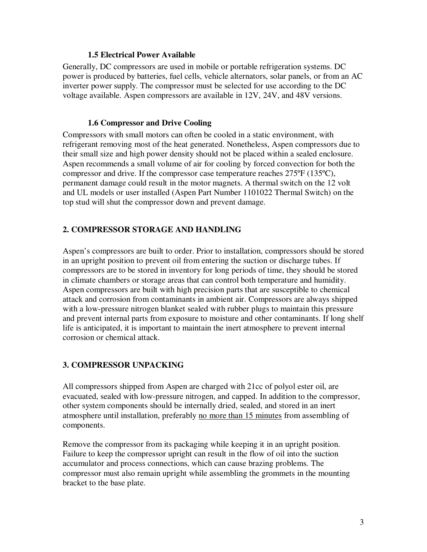#### **1.5 Electrical Power Available**

Generally, DC compressors are used in mobile or portable refrigeration systems. DC power is produced by batteries, fuel cells, vehicle alternators, solar panels, or from an AC inverter power supply. The compressor must be selected for use according to the DC voltage available. Aspen compressors are available in 12V, 24V, and 48V versions.

#### **1.6 Compressor and Drive Cooling**

Compressors with small motors can often be cooled in a static environment, with refrigerant removing most of the heat generated. Nonetheless, Aspen compressors due to their small size and high power density should not be placed within a sealed enclosure. Aspen recommends a small volume of air for cooling by forced convection for both the compressor and drive. If the compressor case temperature reaches 275ºF (135ºC), permanent damage could result in the motor magnets. A thermal switch on the 12 volt and UL models or user installed (Aspen Part Number 1101022 Thermal Switch) on the top stud will shut the compressor down and prevent damage.

## **2. COMPRESSOR STORAGE AND HANDLING**

Aspen's compressors are built to order. Prior to installation, compressors should be stored in an upright position to prevent oil from entering the suction or discharge tubes. If compressors are to be stored in inventory for long periods of time, they should be stored in climate chambers or storage areas that can control both temperature and humidity. Aspen compressors are built with high precision parts that are susceptible to chemical attack and corrosion from contaminants in ambient air. Compressors are always shipped with a low-pressure nitrogen blanket sealed with rubber plugs to maintain this pressure and prevent internal parts from exposure to moisture and other contaminants. If long shelf life is anticipated, it is important to maintain the inert atmosphere to prevent internal corrosion or chemical attack.

#### **3. COMPRESSOR UNPACKING**

All compressors shipped from Aspen are charged with 21cc of polyol ester oil, are evacuated, sealed with low-pressure nitrogen, and capped. In addition to the compressor, other system components should be internally dried, sealed, and stored in an inert atmosphere until installation, preferably no more than 15 minutes from assembling of components.

Remove the compressor from its packaging while keeping it in an upright position. Failure to keep the compressor upright can result in the flow of oil into the suction accumulator and process connections, which can cause brazing problems. The compressor must also remain upright while assembling the grommets in the mounting bracket to the base plate.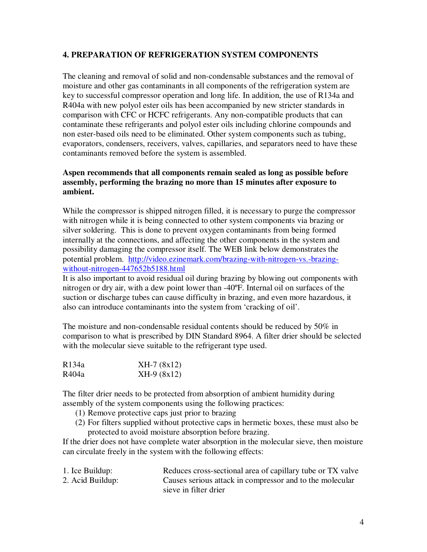#### **4. PREPARATION OF REFRIGERATION SYSTEM COMPONENTS**

The cleaning and removal of solid and non-condensable substances and the removal of moisture and other gas contaminants in all components of the refrigeration system are key to successful compressor operation and long life. In addition, the use of R134a and R404a with new polyol ester oils has been accompanied by new stricter standards in comparison with CFC or HCFC refrigerants. Any non-compatible products that can contaminate these refrigerants and polyol ester oils including chlorine compounds and non ester-based oils need to be eliminated. Other system components such as tubing, evaporators, condensers, receivers, valves, capillaries, and separators need to have these contaminants removed before the system is assembled.

#### **Aspen recommends that all components remain sealed as long as possible before assembly, performing the brazing no more than 15 minutes after exposure to ambient.**

While the compressor is shipped nitrogen filled, it is necessary to purge the compressor with nitrogen while it is being connected to other system components via brazing or silver soldering. This is done to prevent oxygen contaminants from being formed internally at the connections, and affecting the other components in the system and possibility damaging the compressor itself. The WEB link below demonstrates the potential problem. http://video.ezinemark.com/brazing-with-nitrogen-vs.-brazingwithout-nitrogen-447652b5188.html

It is also important to avoid residual oil during brazing by blowing out components with nitrogen or dry air, with a dew point lower than -40ºF. Internal oil on surfaces of the suction or discharge tubes can cause difficulty in brazing, and even more hazardous, it also can introduce contaminants into the system from 'cracking of oil'.

The moisture and non-condensable residual contents should be reduced by  $50\%$  in comparison to what is prescribed by DIN Standard 8964. A filter drier should be selected with the molecular sieve suitable to the refrigerant type used.

| R134a | $XH-7(8x12)$ |
|-------|--------------|
| R404a | $XH-9(8x12)$ |

The filter drier needs to be protected from absorption of ambient humidity during assembly of the system components using the following practices:

- (1) Remove protective caps just prior to brazing
- (2) For filters supplied without protective caps in hermetic boxes, these must also be protected to avoid moisture absorption before brazing.

If the drier does not have complete water absorption in the molecular sieve, then moisture can circulate freely in the system with the following effects:

| 1. Ice Buildup:  | Reduces cross-sectional area of capillary tube or TX valve |
|------------------|------------------------------------------------------------|
| 2. Acid Buildup: | Causes serious attack in compressor and to the molecular   |
|                  | sieve in filter drier                                      |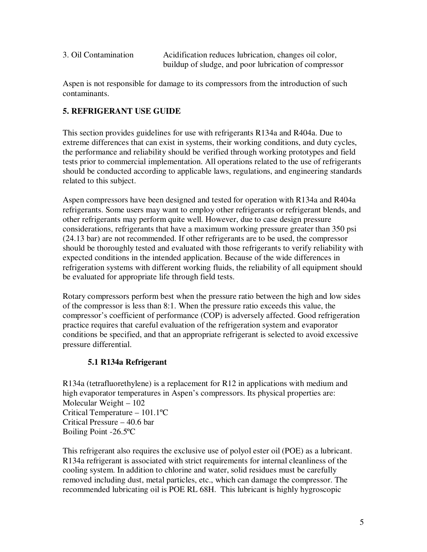| 3. Oil Contamination | Acidification reduces lubrication, changes oil color, |
|----------------------|-------------------------------------------------------|
|                      | buildup of sludge, and poor lubrication of compressor |

Aspen is not responsible for damage to its compressors from the introduction of such contaminants.

## **5. REFRIGERANT USE GUIDE**

This section provides guidelines for use with refrigerants R134a and R404a. Due to extreme differences that can exist in systems, their working conditions, and duty cycles, the performance and reliability should be verified through working prototypes and field tests prior to commercial implementation. All operations related to the use of refrigerants should be conducted according to applicable laws, regulations, and engineering standards related to this subject.

Aspen compressors have been designed and tested for operation with R134a and R404a refrigerants. Some users may want to employ other refrigerants or refrigerant blends, and other refrigerants may perform quite well. However, due to case design pressure considerations, refrigerants that have a maximum working pressure greater than 350 psi (24.13 bar) are not recommended. If other refrigerants are to be used, the compressor should be thoroughly tested and evaluated with those refrigerants to verify reliability with expected conditions in the intended application. Because of the wide differences in refrigeration systems with different working fluids, the reliability of all equipment should be evaluated for appropriate life through field tests.

Rotary compressors perform best when the pressure ratio between the high and low sides of the compressor is less than 8:1. When the pressure ratio exceeds this value, the compressor's coefficient of performance (COP) is adversely affected. Good refrigeration practice requires that careful evaluation of the refrigeration system and evaporator conditions be specified, and that an appropriate refrigerant is selected to avoid excessive pressure differential.

## **5.1 R134a Refrigerant**

R134a (tetrafluorethylene) is a replacement for R12 in applications with medium and high evaporator temperatures in Aspen's compressors. Its physical properties are: Molecular Weight – 102 Critical Temperature – 101.1ºC Critical Pressure – 40.6 bar Boiling Point -26.5ºC

This refrigerant also requires the exclusive use of polyol ester oil (POE) as a lubricant. R134a refrigerant is associated with strict requirements for internal cleanliness of the cooling system. In addition to chlorine and water, solid residues must be carefully removed including dust, metal particles, etc., which can damage the compressor. The recommended lubricating oil is POE RL 68H. This lubricant is highly hygroscopic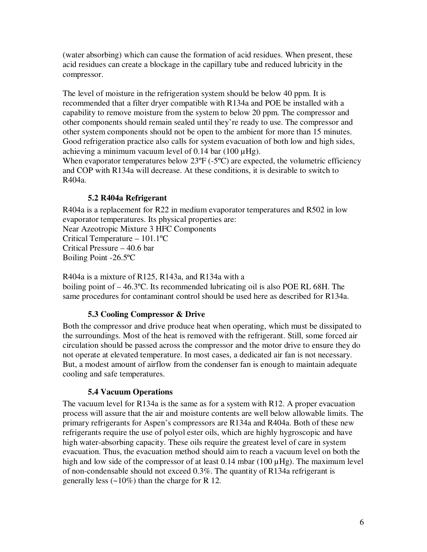(water absorbing) which can cause the formation of acid residues. When present, these acid residues can create a blockage in the capillary tube and reduced lubricity in the compressor.

The level of moisture in the refrigeration system should be below 40 ppm. It is recommended that a filter dryer compatible with R134a and POE be installed with a capability to remove moisture from the system to below 20 ppm. The compressor and other components should remain sealed until they're ready to use. The compressor and other system components should not be open to the ambient for more than 15 minutes. Good refrigeration practice also calls for system evacuation of both low and high sides, achieving a minimum vacuum level of 0.14 bar (100  $\mu$ Hg).

When evaporator temperatures below  $23^{\circ}F(-5^{\circ}C)$  are expected, the volumetric efficiency and COP with R134a will decrease. At these conditions, it is desirable to switch to R404a.

## **5.2 R404a Refrigerant**

R404a is a replacement for R22 in medium evaporator temperatures and R502 in low evaporator temperatures. Its physical properties are:

Near Azeotropic Mixture 3 HFC Components

Critical Temperature – 101.1ºC Critical Pressure – 40.6 bar

Boiling Point -26.5ºC

R404a is a mixture of R125, R143a, and R134a with a

boiling point of – 46.3ºC. Its recommended lubricating oil is also POE RL 68H. The same procedures for contaminant control should be used here as described for R134a.

## **5.3 Cooling Compressor & Drive**

Both the compressor and drive produce heat when operating, which must be dissipated to the surroundings. Most of the heat is removed with the refrigerant. Still, some forced air circulation should be passed across the compressor and the motor drive to ensure they do not operate at elevated temperature. In most cases, a dedicated air fan is not necessary. But, a modest amount of airflow from the condenser fan is enough to maintain adequate cooling and safe temperatures.

## **5.4 Vacuum Operations**

The vacuum level for R134a is the same as for a system with R12. A proper evacuation process will assure that the air and moisture contents are well below allowable limits. The primary refrigerants for Aspen's compressors are R134a and R404a. Both of these new refrigerants require the use of polyol ester oils, which are highly hygroscopic and have high water-absorbing capacity. These oils require the greatest level of care in system evacuation. Thus, the evacuation method should aim to reach a vacuum level on both the high and low side of the compressor of at least 0.14 mbar (100  $\mu$ Hg). The maximum level of non-condensable should not exceed 0.3%. The quantity of R134a refrigerant is generally less  $(\sim 10\%)$  than the charge for R 12.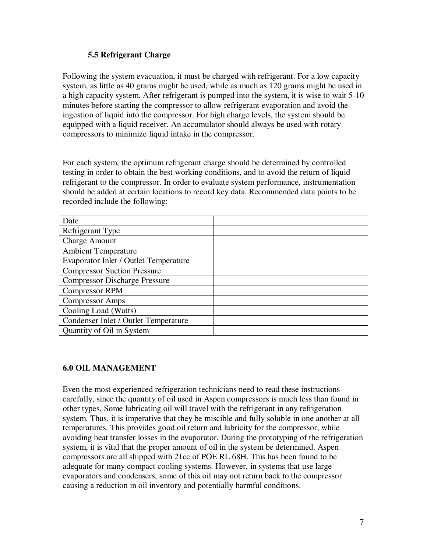#### **5.5 Refrigerant Charge**

Following the system evacuation, it must be charged with refrigerant. For a low capacity system, as little as 40 grams might be used, while as much as 120 grams might be used in a high capacity system. After refrigerant is pumped into the system, it is wise to wait 5-10 minutes before starting the compressor to allow refrigerant evaporation and avoid the ingestion of liquid into the compressor. For high charge levels, the system should be equipped with a liquid receiver. An accumulator should always be used with rotary compressors to minimize liquid intake in the compressor.

For each system, the optimum refrigerant charge should be determined by controlled testing in order to obtain the best working conditions, and to avoid the return of liquid refrigerant to the compressor. In order to evaluate system performance, instrumentation should be added at certain locations to record key data. Recommended data points to be recorded include the following:

| Date                                         |  |
|----------------------------------------------|--|
| Refrigerant Type                             |  |
| <b>Charge Amount</b>                         |  |
| <b>Ambient Temperature</b>                   |  |
| <b>Evaporator Inlet / Outlet Temperature</b> |  |
| <b>Compressor Suction Pressure</b>           |  |
| <b>Compressor Discharge Pressure</b>         |  |
| <b>Compressor RPM</b>                        |  |
| <b>Compressor Amps</b>                       |  |
| Cooling Load (Watts)                         |  |
| Condenser Inlet / Outlet Temperature         |  |
| Quantity of Oil in System                    |  |

## **6.0 OIL MANAGEMENT**

Even the most experienced refrigeration technicians need to read these instructions carefully, since the quantity of oil used in Aspen compressors is much less than found in other types. Some lubricating oil will travel with the refrigerant in any refrigeration system. Thus, it is imperative that they be miscible and fully soluble in one another at all temperatures. This provides good oil return and lubricity for the compressor, while avoiding heat transfer losses in the evaporator. During the prototyping of the refrigeration system, it is vital that the proper amount of oil in the system be determined. Aspen compressors are all shipped with 21cc of POE RL 68H. This has been found to be adequate for many compact cooling systems. However, in systems that use large evaporators and condensers, some of this oil may not return back to the compressor causing a reduction in oil inventory and potentially harmful conditions.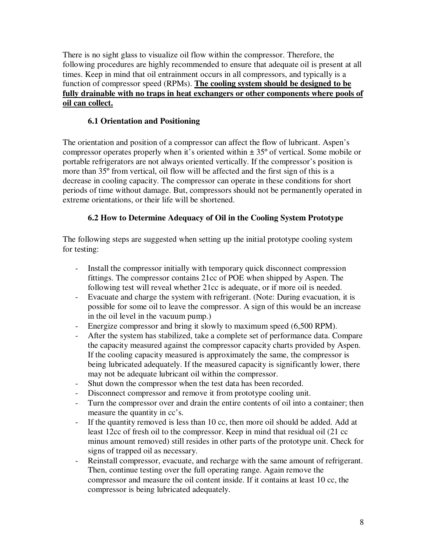There is no sight glass to visualize oil flow within the compressor. Therefore, the following procedures are highly recommended to ensure that adequate oil is present at all times. Keep in mind that oil entrainment occurs in all compressors, and typically is a function of compressor speed (RPMs). **The cooling system should be designed to be fully drainable with no traps in heat exchangers or other components where pools of oil can collect.**

## **6.1 Orientation and Positioning**

The orientation and position of a compressor can affect the flow of lubricant. Aspen's compressor operates properly when it's oriented within  $\pm 35^{\circ}$  of vertical. Some mobile or portable refrigerators are not always oriented vertically. If the compressor's position is more than 35º from vertical, oil flow will be affected and the first sign of this is a decrease in cooling capacity. The compressor can operate in these conditions for short periods of time without damage. But, compressors should not be permanently operated in extreme orientations, or their life will be shortened.

## **6.2 How to Determine Adequacy of Oil in the Cooling System Prototype**

The following steps are suggested when setting up the initial prototype cooling system for testing:

- Install the compressor initially with temporary quick disconnect compression fittings. The compressor contains 21cc of POE when shipped by Aspen. The following test will reveal whether 21cc is adequate, or if more oil is needed.
- Evacuate and charge the system with refrigerant. (Note: During evacuation, it is possible for some oil to leave the compressor. A sign of this would be an increase in the oil level in the vacuum pump.)
- Energize compressor and bring it slowly to maximum speed (6,500 RPM).
- After the system has stabilized, take a complete set of performance data. Compare the capacity measured against the compressor capacity charts provided by Aspen. If the cooling capacity measured is approximately the same, the compressor is being lubricated adequately. If the measured capacity is significantly lower, there may not be adequate lubricant oil within the compressor.
- Shut down the compressor when the test data has been recorded.
- Disconnect compressor and remove it from prototype cooling unit.
- Turn the compressor over and drain the entire contents of oil into a container; then measure the quantity in cc's.
- If the quantity removed is less than 10 cc, then more oil should be added. Add at least 12cc of fresh oil to the compressor. Keep in mind that residual oil (21 cc minus amount removed) still resides in other parts of the prototype unit. Check for signs of trapped oil as necessary.
- Reinstall compressor, evacuate, and recharge with the same amount of refrigerant. Then, continue testing over the full operating range. Again remove the compressor and measure the oil content inside. If it contains at least 10 cc, the compressor is being lubricated adequately.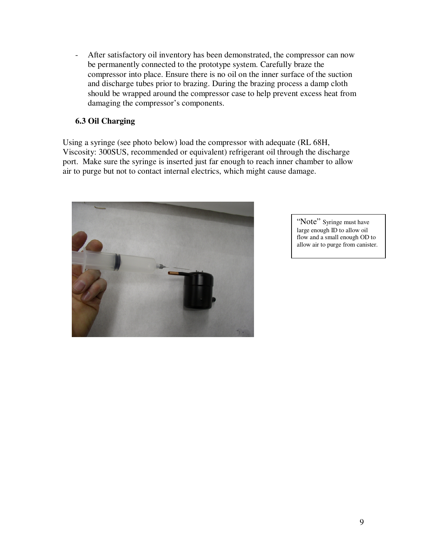- After satisfactory oil inventory has been demonstrated, the compressor can now be permanently connected to the prototype system. Carefully braze the compressor into place. Ensure there is no oil on the inner surface of the suction and discharge tubes prior to brazing. During the brazing process a damp cloth should be wrapped around the compressor case to help prevent excess heat from damaging the compressor's components.

## **6.3 Oil Charging**

Using a syringe (see photo below) load the compressor with adequate (RL 68H, Viscosity: 300SUS, recommended or equivalent) refrigerant oil through the discharge port. Make sure the syringe is inserted just far enough to reach inner chamber to allow air to purge but not to contact internal electrics, which might cause damage.



"Note" Syringe must have large enough ID to allow oil flow and a small enough OD to allow air to purge from canister.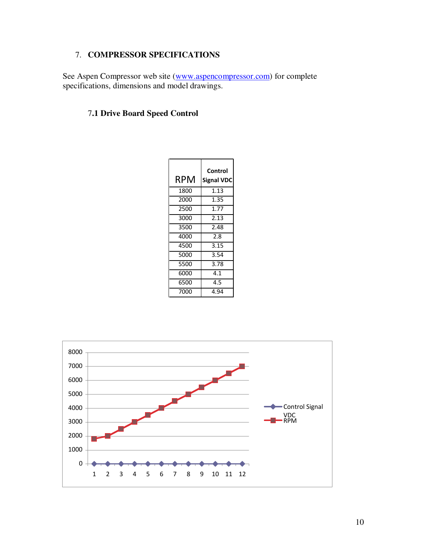## 7. **COMPRESSOR SPECIFICATIONS**

See Aspen Compressor web site (www.aspencompressor.com) for complete specifications, dimensions and model drawings.

## 7**.1 Drive Board Speed Control**

| RPM  | Control<br><b>Signal VDC</b> |
|------|------------------------------|
| 1800 | 1.13                         |
| 2000 | 1.35                         |
| 2500 | 1.77                         |
| 3000 | 2.13                         |
| 3500 | 2.48                         |
| 4000 | 2.8                          |
| 4500 | 3.15                         |
| 5000 | 3.54                         |
| 5500 | 3.78                         |
| 6000 | 4.1                          |
| 6500 | 4.5                          |
| 7000 | 4.94                         |